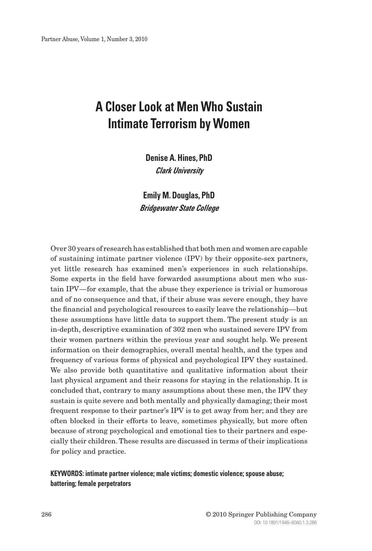# **A Closer Look at Men Who Sustain Intimate Terrorism by Women**

Denise A. Hines. PhD **Clark University** 

**Emily M. Douglas, PhD Bridgewater State College** 

Over 30 years of research has established that both men and women are capable of sustaining intimate partner violence (IPV) by their opposite-sex partners, yet little research has examined men's experiences in such relationships. Some experts in the field have forwarded assumptions about men who sustain IPV—for example, that the abuse they experience is trivial or humorous and of no consequence and that, if their abuse was severe enough, they have the financial and psychological resources to easily leave the relationship—but these assumptions have little data to support them. The present study is an in-depth, descriptive examination of 302 men who sustained severe IPV from their women partners within the previous year and sought help. We present information on their demographics, overall mental health, and the types and frequency of various forms of physical and psychological IPV they sustained. We also provide both quantitative and qualitative information about their last physical argument and their reasons for staying in the relationship. It is concluded that, contrary to many assumptions about these men, the IPV they sustain is quite severe and both mentally and physically damaging; their most frequent response to their partner's IPV is to get away from her; and they are often blocked in their efforts to leave, sometimes physically, but more often because of strong psychological and emotional ties to their partners and especially their children. These results are discussed in terms of their implications for policy and practice.

# KEYWORDS: intimate partner violence; male victims; domestic violence; spouse abuse; battering; female perpetrators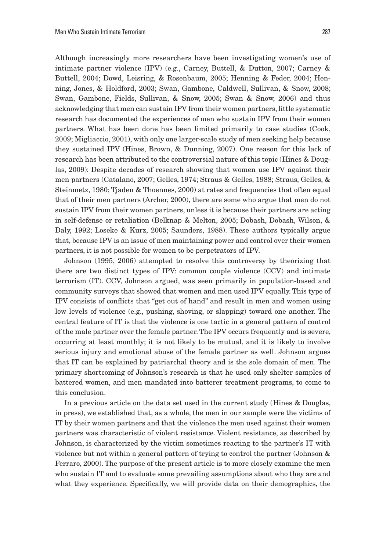Although increasingly more researchers have been investigating women's use of intimate partner violence (IPV) (e.g., Carney, Buttell, & Dutton, 2007; Carney & Buttell, 2004; Dowd, Leisring, & Rosenbaum, 2005; Henning & Feder, 2004; Henning, Jones, & Holdford, 2003; Swan, Gambone, Caldwell, Sullivan, & Snow, 2008; Swan, Gambone, Fields, Sullivan, & Snow, 2005; Swan & Snow, 2006) and thus acknowledging that men can sustain IPV from their women partners, little systematic research has documented the experiences of men who sustain IPV from their women partners. What has been done has been limited primarily to case studies (Cook, 2009; Migliaccio, 2001), with only one larger-scale study of men seeking help because they sustained IPV (Hines, Brown, & Dunning, 2007). One reason for this lack of research has been attributed to the controversial nature of this topic (Hines & Douglas, 2009): Despite decades of research showing that women use IPV against their men partners (Catalano, 2007; Gelles, 1974; Straus & Gelles, 1988; Straus, Gelles, & Steinmetz, 1980; Tjaden & Thoennes, 2000) at rates and frequencies that often equal that of their men partners (Archer, 2000), there are some who argue that men do not sustain IPV from their women partners, unless it is because their partners are acting in self-defense or retaliation (Belknap & Melton, 2005; Dobash, Dobash, Wilson, & Daly, 1992; Loseke & Kurz, 2005; Saunders, 1988). These authors typically argue that, because IPV is an issue of men maintaining power and control over their women partners, it is not possible for women to be perpetrators of IPV.

Johnson (1995, 2006) attempted to resolve this controversy by theorizing that there are two distinct types of IPV: common couple violence (CCV) and intimate terrorism (IT). CCV, Johnson argued, was seen primarily in population-based and community surveys that showed that women and men used IPV equally. This type of IPV consists of conflicts that "get out of hand" and result in men and women using low levels of violence (e.g., pushing, shoving, or slapping) toward one another. The central feature of IT is that the violence is one tactic in a general pattern of control of the male partner over the female partner. The IPV occurs frequently and is severe, occurring at least monthly; it is not likely to be mutual, and it is likely to involve serious injury and emotional abuse of the female partner as well. Johnson argues that IT can be explained by patriarchal theory and is the sole domain of men. The primary shortcoming of Johnson's research is that he used only shelter samples of battered women, and men mandated into batterer treatment programs, to come to this conclusion.

In a previous article on the data set used in the current study (Hines & Douglas, in press), we established that, as a whole, the men in our sample were the victims of IT by their women partners and that the violence the men used against their women partners was characteristic of violent resistance. Violent resistance, as described by Johnson, is characterized by the victim sometimes reacting to the partner's IT with violence but not within a general pattern of trying to control the partner (Johnson  $\&$ Ferraro, 2000). The purpose of the present article is to more closely examine the men who sustain IT and to evaluate some prevailing assumptions about who they are and what they experience. Specifically, we will provide data on their demographics, the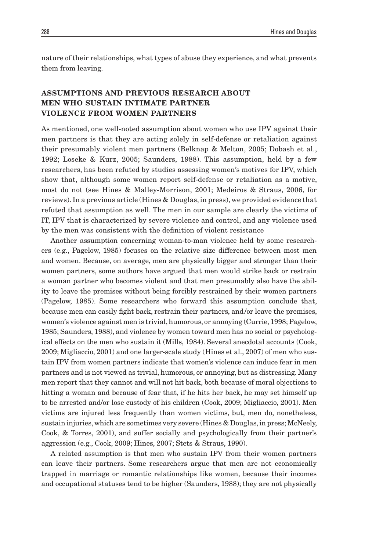nature of their relationships, what types of abuse they experience, and what prevents them from leaving.

## ASSUMPTIONS AND PREVIOUS RESEARCH ABOUT **MEN WHO SUSTAIN INTIMATE PARTNER VIOLENCE FROM WOMEN PARTNERS**

As mentioned, one well-noted assumption about women who use IPV against their men partners is that they are acting solely in self-defense or retaliation against their presumably violent men partners (Belknap & Melton, 2005; Dobash et al., 1992; Loseke & Kurz, 2005; Saunders, 1988). This assumption, held by a few researchers, has been refuted by studies assessing women's motives for IPV, which show that, although some women report self-defense or retaliation as a motive, most do not (see Hines & Malley-Morrison, 2001; Medeiros & Straus, 2006, for reviews). In a previous article (Hines & Douglas, in press), we provided evidence that refuted that assumption as well. The men in our sample are clearly the victims of IT, IPV that is characterized by severe violence and control, and any violence used by the men was consistent with the definition of violent resistance

Another assumption concerning woman-to-man violence held by some researchers (e.g., Pagelow, 1985) focuses on the relative size difference between most men and women. Because, on average, men are physically bigger and stronger than their women partners, some authors have argued that men would strike back or restrain a woman partner who becomes violent and that men presumably also have the ability to leave the premises without being forcibly restrained by their women partners (Pagelow, 1985). Some researchers who forward this assumption conclude that, because men can easily fight back, restrain their partners, and/or leave the premises, women's violence against men is trivial, humorous, or annoying (Currie, 1998; Pagelow, 1985; Saunders, 1988), and violence by women toward men has no social or psychological effects on the men who sustain it (Mills, 1984). Several anecdotal accounts (Cook, 2009; Migliaccio, 2001) and one larger-scale study (Hines et al., 2007) of men who sustain IPV from women partners indicate that women's violence can induce fear in men partners and is not viewed as trivial, humorous, or annoying, but as distressing. Many men report that they cannot and will not hit back, both because of moral objections to hitting a woman and because of fear that, if he hits her back, he may set himself up to be arrested and/or lose custody of his children (Cook, 2009; Migliaccio, 2001). Men victims are injured less frequently than women victims, but, men do, nonetheless, sustain injuries, which are sometimes very severe (Hines & Douglas, in press; McNeely, Cook, & Torres, 2001), and suffer socially and psychologically from their partner's aggression (e.g., Cook, 2009; Hines, 2007; Stets & Straus, 1990).

A related assumption is that men who sustain IPV from their women partners can leave their partners. Some researchers argue that men are not economically trapped in marriage or romantic relationships like women, because their incomes and occupational statuses tend to be higher (Saunders, 1988); they are not physically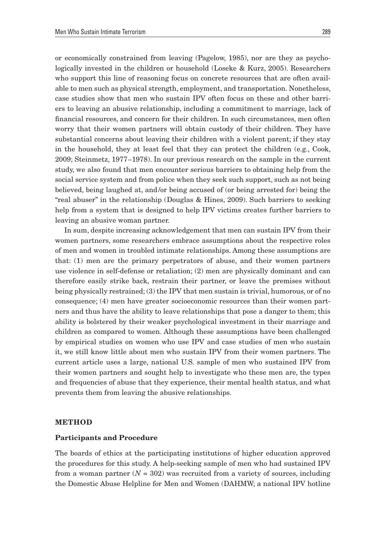or economically constrained from leaving (Pagelow, 1985), nor are they as psychologically invested in the children or household (Loseke & Kurz, 2005). Researchers who support this line of reasoning focus on concrete resources that are often available to men such as physical strength, employment, and transportation. Nonetheless, case studies show that men who sustain IPV often focus on these and other barriers to leaving an abusive relationship, including a commitment to marriage, lack of financial resources, and concern for their children. In such circumstances, men often worry that their women partners will obtain custody of their children. They have substantial concerns about leaving their children with a violent parent; if they stay in the household, they at least feel that they can protect the children (e.g., Cook, 2009; Steinmetz, 1977–1978). In our previous research on the sample in the current study, we also found that men encounter serious barriers to obtaining help from the social service system and from police when they seek such support, such as not being believed, being laughed at, and/or being accused of (or being arrested for) being the "real abuser" in the relationship (Douglas & Hines, 2009). Such barriers to seeking help from a system that is designed to help IPV victims creates further barriers to leaving an abusive woman partner.

In sum, despite increasing acknowledgement that men can sustain IPV from their women partners, some researchers embrace assumptions about the respective roles of men and women in troubled intimate relationships. Among these assumptions are that: (1) men are the primary perpetrators of abuse, and their women partners use violence in self-defense or retaliation; (2) men are physically dominant and can therefore easily strike back, restrain their partner, or leave the premises without being physically restrained; (3) the IPV that men sustain is trivial, humorous, or of no consequence; (4) men have greater socioeconomic resources than their women partners and thus have the ability to leave relationships that pose a danger to them; this ability is bolstered by their weaker psychological investment in their marriage and children as compared to women. Although these assumptions have been challenged by empirical studies on women who use IPV and case studies of men who sustain it, we still know little about men who sustain IPV from their women partners. The current article uses a large, national U.S. sample of men who sustained IPV from their women partners and sought help to investigate who these men are, the types and frequencies of abuse that they experience, their mental health status, and what prevents them from leaving the abusive relationships.

#### **METHOD**

### **Participants and Procedure**

The boards of ethics at the participating institutions of higher education approved the procedures for this study. A help-seeking sample of men who had sustained IPV from a woman partner  $(N = 302)$  was recruited from a variety of sources, including the Domestic Abuse Helpline for Men and Women (DAHMW; a national IPV hotline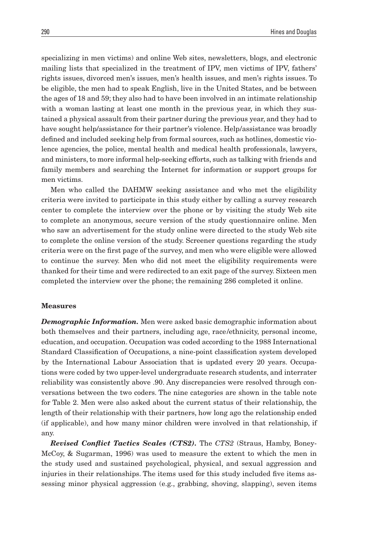specializing in men victims) and online Web sites, newsletters, blogs, and electronic mailing lists that specialized in the treatment of IPV, men victims of IPV, fathers' rights issues, divorced men's issues, men's health issues, and men's rights issues. To be eligible, the men had to speak English, live in the United States, and be between the ages of 18 and 59; they also had to have been involved in an intimate relationship with a woman lasting at least one month in the previous year, in which they sustained a physical assault from their partner during the previous year, and they had to have sought help/assistance for their partner's violence. Help/assistance was broadly defined and included seeking help from formal sources, such as hotlines, domestic violence agencies, the police, mental health and medical health professionals, lawyers, and ministers, to more informal help-seeking efforts, such as talking with friends and family members and searching the Internet for information or support groups for men victims.

Men who called the DAHMW seeking assistance and who met the eligibility criteria were invited to participate in this study either by calling a survey research center to complete the interview over the phone or by visiting the study Web site to complete an anonymous, secure version of the study questionnaire online. Men who saw an advertisement for the study online were directed to the study Web site to complete the online version of the study. Screener questions regarding the study criteria were on the first page of the survey, and men who were eligible were allowed to continue the survey. Men who did not meet the eligibility requirements were thanked for their time and were redirected to an exit page of the survey. Sixteen men completed the interview over the phone; the remaining 286 completed it online.

#### **Measures**

**Demographic Information.** Men were asked basic demographic information about both themselves and their partners, including age, race/ethnicity, personal income, education, and occupation. Occupation was coded according to the 1988 International Standard Classification of Occupations, a nine-point classification system developed by the International Labour Association that is updated every 20 years. Occupations were coded by two upper-level undergraduate research students, and interrater reliability was consistently above .90. Any discrepancies were resolved through conversations between the two coders. The nine categories are shown in the table note for Table 2. Men were also asked about the current status of their relationship, the length of their relationship with their partners, how long ago the relationship ended (if applicable), and how many minor children were involved in that relationship, if any.

**Revised Conflict Tactics Scales (CTS2).** The CTS2 (Straus, Hamby, Boney-McCoy, & Sugarman, 1996) was used to measure the extent to which the men in the study used and sustained psychological, physical, and sexual aggression and injuries in their relationships. The items used for this study included five items assessing minor physical aggression (e.g., grabbing, shoving, slapping), seven items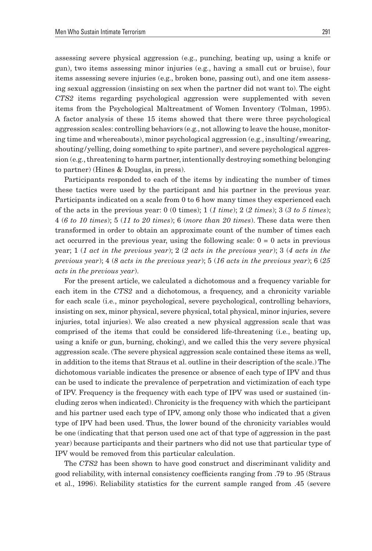assessing severe physical aggression (e.g., punching, beating up, using a knife or gun), two items assessing minor injuries (e.g., having a small cut or bruise), four items assessing severe injuries (e.g., broken bone, passing out), and one item assessing sexual aggression (insisting on sex when the partner did not want to). The eight CTS2 items regarding psychological aggression were supplemented with seven items from the Psychological Maltreatment of Women Inventory (Tolman, 1995). A factor analysis of these 15 items showed that there were three psychological aggression scales: controlling behaviors (e.g., not allowing to leave the house, monitoring time and whereabouts), minor psychological aggression (e.g., insulting/swearing, shouting/yelling, doing something to spite partner), and severe psychological aggression (e.g., threatening to harm partner, intentionally destroying something belonging to partner) (Hines & Douglas, in press).

Participants responded to each of the items by indicating the number of times these tactics were used by the participant and his partner in the previous year. Participants indicated on a scale from 0 to 6 how many times they experienced each of the acts in the previous year: 0 (0 times);  $1 (1 \, time)$ ;  $2 (2 \, times)$ ;  $3 (3 \, to \, 5 \, times)$ ; 4 (6 to 10 times); 5 (11 to 20 times); 6 (more than 20 times). These data were then transformed in order to obtain an approximate count of the number of times each act occurred in the previous year, using the following scale:  $0 = 0$  acts in previous year; 1 (1 act in the previous year); 2 (2 acts in the previous year); 3 (4 acts in the previous year);  $4 \times 8$  acts in the previous year);  $5 \times 16$  acts in the previous year);  $6 \times 25$ acts in the previous year).

For the present article, we calculated a dichotomous and a frequency variable for each item in the CTS2 and a dichotomous, a frequency, and a chronicity variable for each scale (i.e., minor psychological, severe psychological, controlling behaviors, insisting on sex, minor physical, severe physical, total physical, minor injuries, severe injuries, total injuries). We also created a new physical aggression scale that was comprised of the items that could be considered life-threatening (i.e., beating up, using a knife or gun, burning, choking), and we called this the very severe physical aggression scale. (The severe physical aggression scale contained these items as well, in addition to the items that Straus et al. outline in their description of the scale.) The dichotomous variable indicates the presence or absence of each type of IPV and thus can be used to indicate the prevalence of perpetration and victimization of each type of IPV. Frequency is the frequency with each type of IPV was used or sustained (including zeros when indicated). Chronicity is the frequency with which the participant and his partner used each type of IPV, among only those who indicated that a given type of IPV had been used. Thus, the lower bound of the chronicity variables would be one (indicating that that person used one act of that type of aggression in the past year) because participants and their partners who did not use that particular type of IPV would be removed from this particular calculation.

The CTS2 has been shown to have good construct and discriminant validity and good reliability, with internal consistency coefficients ranging from .79 to .95 (Straus et al., 1996). Reliability statistics for the current sample ranged from .45 (severe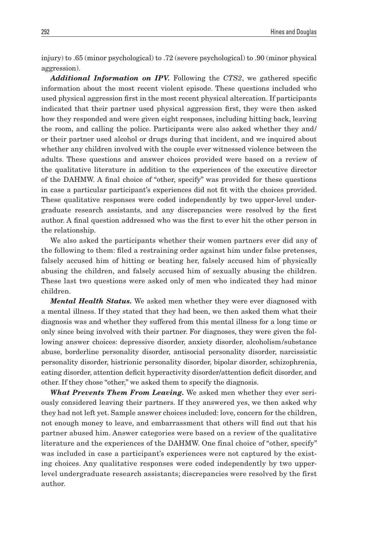injury) to .65 (minor psychological) to .72 (severe psychological) to .90 (minor physical aggression).

**Additional Information on IPV.** Following the CTS2, we gathered specific information about the most recent violent episode. These questions included who used physical aggression first in the most recent physical altercation. If participants indicated that their partner used physical aggression first, they were then asked how they responded and were given eight responses, including hitting back, leaving the room, and calling the police. Participants were also asked whether they and/ or their partner used alcohol or drugs during that incident, and we inquired about whether any children involved with the couple ever witnessed violence between the adults. These questions and answer choices provided were based on a review of the qualitative literature in addition to the experiences of the executive director of the DAHMW. A final choice of "other, specify" was provided for these questions in case a particular participant's experiences did not fit with the choices provided. These qualitative responses were coded independently by two upper-level undergraduate research assistants, and any discrepancies were resolved by the first author. A final question addressed who was the first to ever hit the other person in the relationship.

We also asked the participants whether their women partners ever did any of the following to them: filed a restraining order against him under false pretenses, falsely accused him of hitting or beating her, falsely accused him of physically abusing the children, and falsely accused him of sexually abusing the children. These last two questions were asked only of men who indicated they had minor children.

**Mental Health Status.** We asked men whether they were ever diagnosed with a mental illness. If they stated that they had been, we then asked them what their diagnosis was and whether they suffered from this mental illness for a long time or only since being involved with their partner. For diagnoses, they were given the following answer choices: depressive disorder, anxiety disorder, alcoholism/substance abuse, borderline personality disorder, antisocial personality disorder, narcissistic personality disorder, histrionic personality disorder, bipolar disorder, schizophrenia, eating disorder, attention deficit hyperactivity disorder/attention deficit disorder, and other. If they chose "other," we asked them to specify the diagnosis.

**What Prevents Them From Leaving.** We asked men whether they ever seriously considered leaving their partners. If they answered yes, we then asked why they had not left yet. Sample answer choices included: love, concern for the children, not enough money to leave, and embarrassment that others will find out that his partner abused him. Answer categories were based on a review of the qualitative literature and the experiences of the DAHMW. One final choice of "other, specify" was included in case a participant's experiences were not captured by the existing choices. Any qualitative responses were coded independently by two upperlevel undergraduate research assistants; discrepancies were resolved by the first author.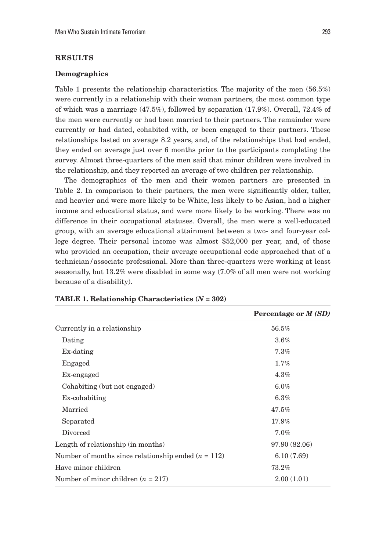### **RESULTS**

### Demographics

Table 1 presents the relationship characteristics. The majority of the men  $(56.5%)$ were currently in a relationship with their woman partners, the most common type of which was a marriage  $(47.5\%)$ , followed by separation  $(17.9\%)$ . Overall, 72.4% of the men were currently or had been married to their partners. The remainder were currently or had dated, cohabited with, or been engaged to their partners. These relationships lasted on average 8.2 years, and, of the relationships that had ended, they ended on average just over 6 months prior to the participants completing the survey. Almost three-quarters of the men said that minor children were involved in the relationship, and they reported an average of two children per relationship.

The demographics of the men and their women partners are presented in Table 2. In comparison to their partners, the men were significantly older, taller, and heavier and were more likely to be White, less likely to be Asian, had a higher income and educational status, and were more likely to be working. There was no difference in their occupational statuses. Overall, the men were a well-educated group, with an average educational attainment between a two- and four-year college degree. Their personal income was almost \$52,000 per year, and, of those who provided an occupation, their average occupational code approached that of a technician/associate professional. More than three-quarters were working at least seasonally, but  $13.2\%$  were disabled in some way  $(7.0\%$  of all men were not working because of a disability).

|                                                       | Percentage or $M(SD)$ |
|-------------------------------------------------------|-----------------------|
| Currently in a relationship                           | 56.5%                 |
| Dating                                                | $3.6\%$               |
| Ex-dating                                             | 7.3%                  |
| Engaged                                               | 1.7%                  |
| Ex-engaged                                            | $4.3\%$               |
| Cohabiting (but not engaged)                          | $6.0\%$               |
| Ex-cohabiting                                         | 6.3%                  |
| Married                                               | 47.5%                 |
| Separated                                             | 17.9%                 |
| Divorced                                              | $7.0\%$               |
| Length of relationship (in months)                    | 97.90 (82.06)         |
| Number of months since relationship ended $(n = 112)$ | 6.10(7.69)            |
| Have minor children                                   | 73.2%                 |
| Number of minor children $(n = 217)$                  | 2.00(1.01)            |

### **TABLE 1. Relationship Characteristics (** $N = 302$ **)**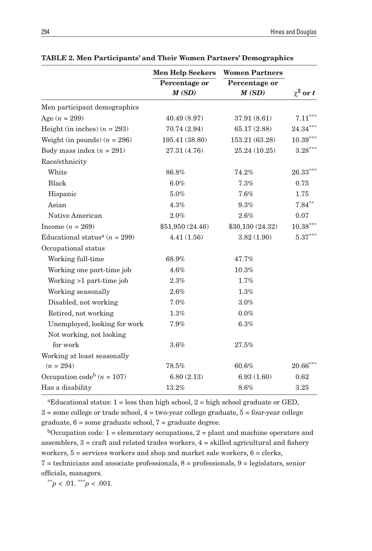|                                               | <b>Men Help Seekers</b><br>Percentage or<br>M(SD) | <b>Women Partners</b><br>Percentage or<br>M(SD) | $\chi^2$ or $t$ |
|-----------------------------------------------|---------------------------------------------------|-------------------------------------------------|-----------------|
| Men participant demographics                  |                                                   |                                                 |                 |
| Age $(n = 299)$                               | 40.49 (8.97)                                      | 37.91 (8.61)                                    | $7.11***$       |
| Height (in inches) $(n = 293)$                | 70.74 (2.94)                                      | 65.17 (2.88)                                    | $24.34***$      |
| Weight (in pounds) $(n = 296)$                | 195.41 (38.80)                                    | 153.21 (63.28)                                  | $10.39***$      |
| Body mass index $(n = 291)$                   | 27.31 (4.76)                                      | 25.24 (10.25)                                   | $3.28***$       |
| Race/ethnicity                                |                                                   |                                                 |                 |
| White                                         | 86.8%                                             | 74.2%                                           | $26.33***$      |
| Black                                         | 6.0%                                              | 7.3%                                            | 0.75            |
| Hispanic                                      | 5.0%                                              | 7.6%                                            | 1.75            |
| Asian                                         | 4.3%                                              | 9.3%                                            | $7.84**$        |
| Native American                               | 2.0%                                              | $2.6\%$                                         | 0.07            |
| Income $(n = 269)$                            | \$51,950 (24.46)                                  | \$30,130 (24.32)                                | $10.38***$      |
| Educational status <sup>a</sup> ( $n = 299$ ) | 4.41(1.56)                                        | 3.82(1.90)                                      | $5.37***$       |
| Occupational status                           |                                                   |                                                 |                 |
| Working full-time                             | 68.9%                                             | 47.7%                                           |                 |
| Working one part-time job                     | 4.6%                                              | 10.3%                                           |                 |
| Working >1 part-time job                      | $2.3\%$                                           | $1.7\%$                                         |                 |
| Working seasonally                            | 2.6%                                              | $1.3\%$                                         |                 |
| Disabled, not working                         | 7.0%                                              | $3.0\%$                                         |                 |
| Retired, not working                          | 1.3%                                              | $0.0\%$                                         |                 |
| Unemployed, looking for work                  | 7.9%                                              | 6.3%                                            |                 |
| Not working, not looking                      |                                                   |                                                 |                 |
| for work                                      | 3.6%                                              | 27.5%                                           |                 |
| Working at least seasonally                   |                                                   |                                                 |                 |
| $(n = 294)$                                   | 78.5%                                             | 60.6%                                           | $20.66***$      |
| Occupation code <sup>b</sup> ( $n = 107$ )    | 6.80(2.13)                                        | 6.93(1.60)                                      | 0.62            |
| Has a disability                              | 13.2%                                             | $8.6\%$                                         | 3.25            |

### **TABLE 2. Men Participants' and Their Women Partners' Demographics**

<sup>a</sup>Educational status:  $1 =$  less than high school,  $2 =$  high school graduate or GED,  $3 =$ some college or trade school,  $4 =$ two-year college graduate,  $5 =$ four-year college  $graduate, 6 = some graduate school, 7 = graduate degree.$ 

<sup>b</sup>Occupation code: 1 = elementary occupations, 2 = plant and machine operators and assemblers,  $3 = \text{craft}$  and related trades workers,  $4 = \text{skilled}$  agricultural and fishery workers,  $5 =$  services workers and shop and market sale workers,  $6 =$  clerks,

 $7 =$  technicians and associate professionals,  $8 =$  professionals,  $9 =$  legislators, senior officials, managers.

\*\*p < .01. \*\*\*p < .001.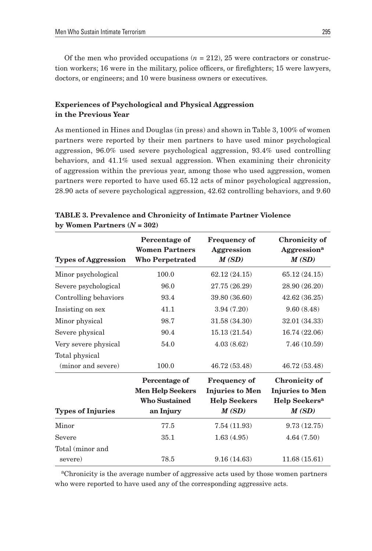Of the men who provided occupations  $(n = 212)$ , 25 were contractors or construction workers; 16 were in the military, police officers, or firefighters; 15 were lawyers, doctors, or engineers; and 10 were business owners or executives.

### **Experiences of Psychological and Physical Aggression** in the Previous Year

As mentioned in Hines and Douglas (in press) and shown in Table 3, 100% of women partners were reported by their men partners to have used minor psychological aggression,  $96.0\%$  used severe psychological aggression,  $93.4\%$  used controlling behaviors, and  $41.1\%$  used sexual aggression. When examining their chronicity of aggression within the previous year, among those who used aggression, women partners were reported to have used 65.12 acts of minor psychological aggression, 28.90 acts of severe psychological aggression, 42.62 controlling behaviors, and 9.60

| <b>Types of Aggression</b>  | Percentage of<br><b>Women Partners</b><br><b>Who Perpetrated</b>              | <b>Frequency of</b><br><b>Aggression</b><br>M(SD)                             | <b>Chronicity of</b><br>Aggression <sup>a</sup><br>M(SD)                             |
|-----------------------------|-------------------------------------------------------------------------------|-------------------------------------------------------------------------------|--------------------------------------------------------------------------------------|
| Minor psychological         | 100.0                                                                         | 62.12(24.15)                                                                  | 65.12(24.15)                                                                         |
| Severe psychological        | 96.0                                                                          | 27.75 (26.29)                                                                 | 28.90 (26.20)                                                                        |
| Controlling behaviors       | 93.4                                                                          | 39.80 (36.60)                                                                 | 42.62(36.25)                                                                         |
| Insisting on sex            | 41.1                                                                          | 3.94(7.20)                                                                    | 9.60(8.48)                                                                           |
| Minor physical              | 98.7                                                                          | 31.58 (34.30)                                                                 | 32.01(34.33)                                                                         |
| Severe physical             | 90.4                                                                          | 15.13(21.54)                                                                  | 16.74 (22.06)                                                                        |
| Very severe physical        | 54.0                                                                          | 4.03(8.62)                                                                    | 7.46(10.59)                                                                          |
| Total physical              |                                                                               |                                                                               |                                                                                      |
| (minor and severe)          | 100.0                                                                         | 46.72 (53.48)                                                                 | 46.72(53.48)                                                                         |
| <b>Types of Injuries</b>    | Percentage of<br><b>Men Help Seekers</b><br><b>Who Sustained</b><br>an Injury | <b>Frequency of</b><br><b>Injuries to Men</b><br><b>Help Seekers</b><br>M(SD) | Chronicity of<br><b>Injuries to Men</b><br><b>Help Seekers</b> <sup>a</sup><br>M(SD) |
|                             |                                                                               |                                                                               |                                                                                      |
| Minor                       | 77.5                                                                          | 7.54(11.93)                                                                   | 9.73(12.75)                                                                          |
| Severe                      | 35.1                                                                          | 1.63(4.95)                                                                    | 4.64(7.50)                                                                           |
| Total (minor and<br>severe) | 78.5                                                                          | 9.16(14.63)                                                                   | 11.68(15.61)                                                                         |

**TABLE 3. Prevalence and Chronicity of Intimate Partner Violence** by Women Partners  $(N = 302)$ 

<sup>a</sup>Chronicity is the average number of aggressive acts used by those women partners who were reported to have used any of the corresponding aggressive acts.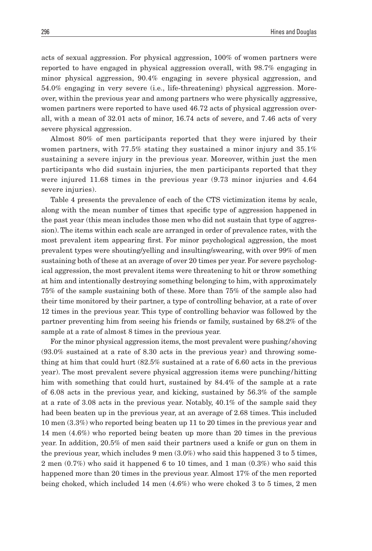acts of sexual aggression. For physical aggression, 100% of women partners were reported to have engaged in physical aggression overall, with 98.7% engaging in minor physical aggression, 90.4% engaging in severe physical aggression, and 54.0% engaging in very severe (i.e., life-threatening) physical aggression. Moreover, within the previous year and among partners who were physically aggressive, women partners were reported to have used 46.72 acts of physical aggression overall, with a mean of 32.01 acts of minor, 16.74 acts of severe, and 7.46 acts of very severe physical aggression.

Almost 80% of men participants reported that they were injured by their women partners, with 77.5% stating they sustained a minor injury and 35.1% sustaining a severe injury in the previous year. Moreover, within just the men participants who did sustain injuries, the men participants reported that they were injured 11.68 times in the previous year (9.73 minor injuries and 4.64 severe injuries).

Table 4 presents the prevalence of each of the CTS victimization items by scale, along with the mean number of times that specific type of aggression happened in the past year (this mean includes those men who did not sustain that type of aggression). The items within each scale are arranged in order of prevalence rates, with the most prevalent item appearing first. For minor psychological aggression, the most prevalent types were shouting/yelling and insulting/swearing, with over 99% of men sustaining both of these at an average of over 20 times per year. For severe psychological aggression, the most prevalent items were threatening to hit or throw something at him and intentionally destroying something belonging to him, with approximately 75% of the sample sustaining both of these. More than 75% of the sample also had their time monitored by their partner, a type of controlling behavior, at a rate of over 12 times in the previous year. This type of controlling behavior was followed by the partner preventing him from seeing his friends or family, sustained by 68.2% of the sample at a rate of almost 8 times in the previous year.

For the minor physical aggression items, the most prevalent were pushing/shoving  $(93.0\%$  sustained at a rate of 8.30 acts in the previous year) and throwing something at him that could hurt (82.5% sustained at a rate of 6.60 acts in the previous year). The most prevalent severe physical aggression items were punching/hitting him with something that could hurt, sustained by 84.4% of the sample at a rate of 6.08 acts in the previous year, and kicking, sustained by 56.3% of the sample at a rate of 3.08 acts in the previous year. Notably,  $40.1\%$  of the sample said they had been beaten up in the previous year, at an average of 2.68 times. This included 10 men  $(3.3%)$  who reported being beaten up 11 to 20 times in the previous year and 14 men (4.6%) who reported being beaten up more than 20 times in the previous year. In addition, 20.5% of men said their partners used a knife or gun on them in the previous year, which includes  $9 \text{ men } (3.0\%)$  who said this happened 3 to 5 times, 2 men  $(0.7\%)$  who said it happened 6 to 10 times, and 1 man  $(0.3\%)$  who said this happened more than 20 times in the previous year. Almost 17% of the men reported being choked, which included 14 men (4.6%) who were choked 3 to 5 times, 2 men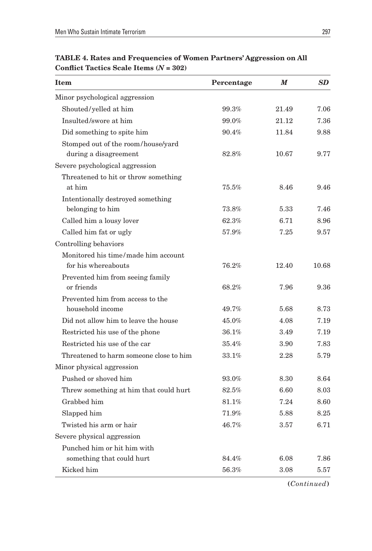| Item                                    | Percentage | M        | SD    |
|-----------------------------------------|------------|----------|-------|
| Minor psychological aggression          |            |          |       |
| Shouted/yelled at him                   | 99.3%      | 21.49    | 7.06  |
| Insulted/swore at him                   | 99.0%      | 21.12    | 7.36  |
| Did something to spite him              | 90.4%      | 11.84    | 9.88  |
| Stomped out of the room/house/yard      |            |          |       |
| during a disagreement                   | 82.8%      | 10.67    | 9.77  |
| Severe psychological aggression         |            |          |       |
| Threatened to hit or throw something    |            |          |       |
| at him                                  | 75.5%      | 8.46     | 9.46  |
| Intentionally destroyed something       |            |          |       |
| belonging to him                        | 73.8%      | 5.33     | 7.46  |
| Called him a lousy lover                | 62.3%      | 6.71     | 8.96  |
| Called him fat or ugly                  | 57.9%      | 7.25     | 9.57  |
| Controlling behaviors                   |            |          |       |
| Monitored his time/made him account     |            |          |       |
| for his whereabouts                     | 76.2%      | 12.40    | 10.68 |
| Prevented him from seeing family        |            |          |       |
| or friends                              | 68.2%      | 7.96     | 9.36  |
| Prevented him from access to the        |            |          |       |
| household income                        | 49.7%      | 5.68     | 8.73  |
| Did not allow him to leave the house    | 45.0%      | 4.08     | 7.19  |
| Restricted his use of the phone         | 36.1%      | 3.49     | 7.19  |
| Restricted his use of the car           | 35.4%      | 3.90     | 7.83  |
| Threatened to harm someone close to him | 33.1%      | $2.28\,$ | 5.79  |
| Minor physical aggression               |            |          |       |
| Pushed or shoved him                    | 93.0%      | 8.30     | 8.64  |
| Threw something at him that could hurt  | 82.5%      | 6.60     | 8.03  |
| Grabbed him                             | 81.1%      | 7.24     | 8.60  |
| Slapped him                             | 71.9%      | 5.88     | 8.25  |
| Twisted his arm or hair                 | 46.7%      | 3.57     | 6.71  |
| Severe physical aggression              |            |          |       |
| Punched him or hit him with             |            |          |       |
| something that could hurt               | 84.4%      | 6.08     | 7.86  |
| Kicked him                              | 56.3%      | 3.08     | 5.57  |

# TABLE 4. Rates and Frequencies of Women Partners' Aggression on All Conflict Tactics Scale Items  $(N = 302)$

 $(Continued)$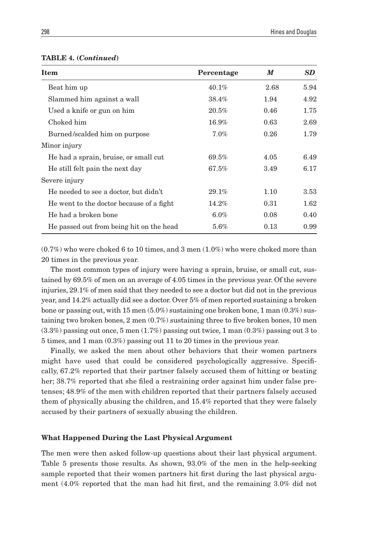| <b>Item</b>                              | Percentage | M    | SD   |
|------------------------------------------|------------|------|------|
| Beat him up                              | $40.1\%$   | 2.68 | 5.94 |
| Slammed him against a wall               | 38.4%      | 1.94 | 4.92 |
| Used a knife or gun on him               | $20.5\%$   | 0.46 | 1.75 |
| Choked him                               | $16.9\%$   | 0.63 | 2.69 |
| Burned/scalded him on purpose            | $7.0\%$    | 0.26 | 1.79 |
| Minor injury                             |            |      |      |
| He had a sprain, bruise, or small cut    | 69.5%      | 4.05 | 6.49 |
| He still felt pain the next day          | 67.5%      | 3.49 | 6.17 |
| Severe injury                            |            |      |      |
| He needed to see a doctor, but didn't    | 29.1%      | 1.10 | 3.53 |
| He went to the doctor because of a fight | 14.2%      | 0.31 | 1.62 |
| He had a broken bone                     | $6.0\%$    | 0.08 | 0.40 |
| He passed out from being hit on the head | $5.6\%$    | 0.13 | 0.99 |

### **TABLE 4. (Continued)**

 $(0.7\%)$  who were choked 6 to 10 times, and 3 men  $(1.0\%)$  who were choked more than 20 times in the previous year.

The most common types of injury were having a sprain, bruise, or small cut, sustained by 69.5% of men on an average of 4.05 times in the previous year. Of the severe injuries, 29.1% of men said that they needed to see a doctor but did not in the previous year, and 14.2% actually did see a doctor. Over 5% of men reported sustaining a broken bone or passing out, with 15 men (5.0%) sustaining one broken bone, 1 man (0.3%) sustaining two broken bones,  $2 \text{ men } (0.7\%)$  sustaining three to five broken bones, 10 men  $(3.3\%)$  passing out once, 5 men  $(1.7\%)$  passing out twice, 1 man  $(0.3\%)$  passing out 3 to 5 times, and 1 man  $(0.3\%)$  passing out 11 to 20 times in the previous year.

Finally, we asked the men about other behaviors that their women partners might have used that could be considered psychologically aggressive. Specifically, 67.2% reported that their partner falsely accused them of hitting or beating her; 38.7% reported that she filed a restraining order against him under false pretenses; 48.9% of the men with children reported that their partners falsely accused them of physically abusing the children, and 15.4% reported that they were falsely accused by their partners of sexually abusing the children.

#### What Happened During the Last Physical Argument

The men were then asked follow-up questions about their last physical argument. Table 5 presents those results. As shown, 93.0% of the men in the help-seeking sample reported that their women partners hit first during the last physical argument (4.0% reported that the man had hit first, and the remaining 3.0% did not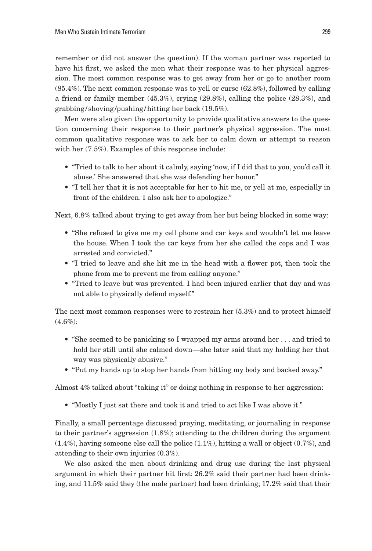remember or did not answer the question). If the woman partner was reported to have hit first, we asked the men what their response was to her physical aggression. The most common response was to get away from her or go to another room  $(85.4\%)$ . The next common response was to yell or curse  $(62.8\%)$ , followed by calling a friend or family member  $(45.3\%)$ , crying  $(29.8\%)$ , calling the police  $(28.3\%)$ , and  $grabbing/shoving/pushing/hitting her back (19.5%).$ 

Men were also given the opportunity to provide qualitative answers to the question concerning their response to their partner's physical aggression. The most common qualitative response was to ask her to calm down or attempt to reason with her  $(7.5\%)$ . Examples of this response include:

- "Tried to talk to her about it calmly, saying 'now, if I did that to you, you'd call it abuse.' She answered that she was defending her honor."
- "I tell her that it is not acceptable for her to hit me, or yell at me, especially in front of the children. I also ask her to apologize."

Next, 6.8% talked about trying to get away from her but being blocked in some way:

- "She refused to give me my cell phone and car keys and wouldn't let me leave the house. When I took the car keys from her she called the cops and I was arrested and convicted."
- "I tried to leave and she hit me in the head with a flower pot, then took the phone from me to prevent me from calling anyone."
- "Tried to leave but was prevented. I had been injured earlier that day and was not able to physically defend myself."

The next most common responses were to restrain her  $(5.3\%)$  and to protect himself  $(4.6\%)$ :

- "She seemed to be panicking so I wrapped my arms around her ... and tried to hold her still until she calmed down—she later said that my holding her that way was physically abusive."
- "Put my hands up to stop her hands from hitting my body and backed away."

Almost 4% talked about "taking it" or doing nothing in response to her aggression:

• "Mostly I just sat there and took it and tried to act like I was above it."

Finally, a small percentage discussed praying, meditating, or journaling in response to their partner's aggression  $(1.8\%)$ ; attending to the children during the argument  $(1.4\%)$ , having someone else call the police  $(1.1\%)$ , hitting a wall or object  $(0.7\%)$ , and attending to their own injuries  $(0.3\%)$ .

We also asked the men about drinking and drug use during the last physical argument in which their partner hit first: 26.2% said their partner had been drinking, and 11.5% said they (the male partner) had been drinking; 17.2% said that their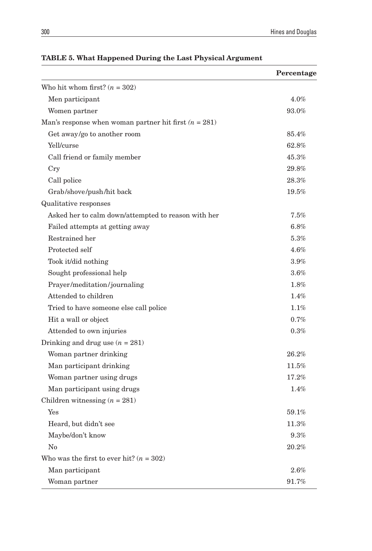|                                                           | Percentage |
|-----------------------------------------------------------|------------|
| Who hit whom first? $(n = 302)$                           |            |
| Men participant                                           | 4.0%       |
| Women partner                                             | 93.0%      |
| Man's response when woman partner hit first ( $n = 281$ ) |            |
| Get away/go to another room                               | $85.4\%$   |
| Yell/curse                                                | $62.8\%$   |
| Call friend or family member                              | 45.3%      |
| Cry                                                       | $29.8\%$   |
| Call police                                               | 28.3%      |
| Grab/shove/push/hit back                                  | 19.5%      |
| Qualitative responses                                     |            |
| Asked her to calm down/attempted to reason with her       | 7.5%       |
| Failed attempts at getting away                           | 6.8%       |
| Restrained her                                            | 5.3%       |
| Protected self                                            | 4.6%       |
| Took it/did nothing                                       | 3.9%       |
| Sought professional help                                  | $3.6\%$    |
| Prayer/meditation/journaling                              | 1.8%       |
| Attended to children                                      | 1.4%       |
| Tried to have someone else call police                    | 1.1%       |
| Hit a wall or object                                      | 0.7%       |
| Attended to own injuries                                  | 0.3%       |
| Drinking and drug use $(n = 281)$                         |            |
| Woman partner drinking                                    | 26.2%      |
| Man participant drinking                                  | $11.5\%$   |
| Woman partner using drugs                                 | 17.2%      |
| Man participant using drugs                               | 1.4%       |
| Children witnessing $(n = 281)$                           |            |
| Yes                                                       | 59.1%      |
| Heard, but didn't see                                     | $11.3\%$   |
| Maybe/don't know                                          | 9.3%       |
| No                                                        | 20.2%      |
| Who was the first to ever hit? $(n = 302)$                |            |
| Man participant                                           | 2.6%       |
| Woman partner                                             | 91.7%      |

# TABLE 5. What Happened During the Last Physical Argument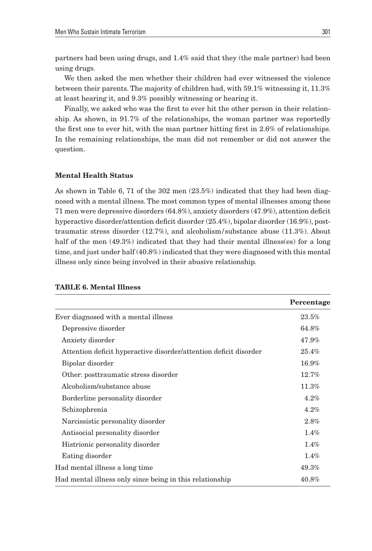partners had been using drugs, and  $1.4\%$  said that they (the male partner) had been using drugs.

We then asked the men whether their children had ever witnessed the violence between their parents. The majority of children had, with 59.1% witnessing it, 11.3% at least hearing it, and 9.3% possibly witnessing or hearing it.

Finally, we asked who was the first to ever hit the other person in their relationship. As shown, in 91.7% of the relationships, the woman partner was reportedly the first one to ever hit, with the man partner hitting first in 2.6% of relationships. In the remaining relationships, the man did not remember or did not answer the question.

### **Mental Health Status**

As shown in Table 6, 71 of the 302 men  $(23.5%)$  indicated that they had been diagnosed with a mental illness. The most common types of mental illnesses among these 71 men were depressive disorders (64.8%), anxiety disorders (47.9%), attention deficit hyperactive disorder/attention deficit disorder (25.4%), bipolar disorder (16.9%), posttraumatic stress disorder  $(12.7\%)$ , and alcoholism/substance abuse  $(11.3\%)$ . About half of the men  $(49.3\%)$  indicated that they had their mental illness(es) for a long time, and just under half (40.8%) indicated that they were diagnosed with this mental illness only since being involved in their abusive relationship.

|                                                                   | Percentage |
|-------------------------------------------------------------------|------------|
| Ever diagnosed with a mental illness                              | 23.5%      |
| Depressive disorder                                               | 64.8%      |
| Anxiety disorder                                                  | 47.9%      |
| Attention deficit hyperactive disorder/attention deficit disorder | 25.4%      |
| Bipolar disorder                                                  | 16.9%      |
| Other: posttraumatic stress disorder                              | 12.7%      |
| Alcoholism/substance abuse                                        | $11.3\%$   |
| Borderline personality disorder                                   | 4.2%       |
| Schizophrenia                                                     | 4.2%       |
| Narcissistic personality disorder                                 | 2.8%       |
| Antisocial personality disorder                                   | 1.4%       |
| Histrionic personality disorder                                   | 1.4%       |
| Eating disorder                                                   | 1.4%       |
| Had mental illness a long time                                    | 49.3%      |
| Had mental illness only since being in this relationship          | 40.8%      |

## **TABLE 6. Mental Illness**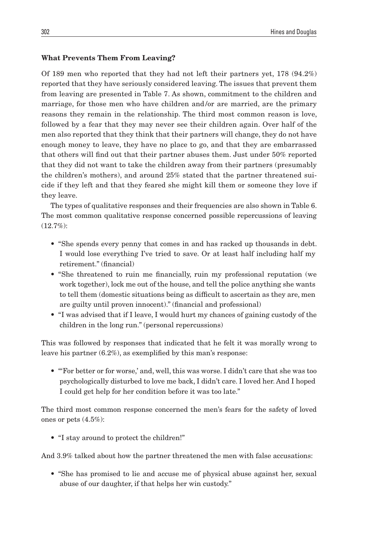### **What Prevents Them From Leaving?**

Of 189 men who reported that they had not left their partners yet, 178 (94.2%) reported that they have seriously considered leaving. The issues that prevent them from leaving are presented in Table 7. As shown, commitment to the children and marriage, for those men who have children and/or are married, are the primary reasons they remain in the relationship. The third most common reason is love, followed by a fear that they may never see their children again. Over half of the men also reported that they think that their partners will change, they do not have enough money to leave, they have no place to go, and that they are embarrassed that others will find out that their partner abuses them. Just under 50% reported that they did not want to take the children away from their partners (presumably the children's mothers), and around 25% stated that the partner threatened suicide if they left and that they feared she might kill them or someone they love if they leave.

The types of qualitative responses and their frequencies are also shown in Table 6. The most common qualitative response concerned possible repercussions of leaving  $(12.7\%)$ :

- "She spends every penny that comes in and has racked up thousands in debt. I would lose everything I've tried to save. Or at least half including half my retirement." (financial)
- "She threatened to ruin me financially, ruin my professional reputation (we work together), lock me out of the house, and tell the police anything she wants to tell them (domestic situations being as difficult to ascertain as they are, men are guilty until proven innocent)." (financial and professional)
- "I was advised that if I leave, I would hurt my chances of gaining custody of the children in the long run." (personal repercussions)

This was followed by responses that indicated that he felt it was morally wrong to leave his partner  $(6.2\%)$ , as exemplified by this man's response:

• "For better or for worse,' and, well, this was worse. I didn't care that she was too psychologically disturbed to love me back, I didn't care. I loved her. And I hoped I could get help for her condition before it was too late."

The third most common response concerned the men's fears for the safety of loved ones or pets  $(4.5\%)$ :

• "I stay around to protect the children!"

And 3.9% talked about how the partner threatened the men with false accusations:

• "She has promised to lie and accuse me of physical abuse against her, sexual abuse of our daughter, if that helps her win custody."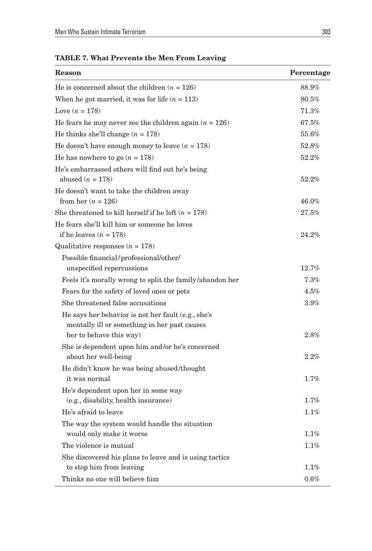# **TABLE 7. What Prevents the Men From Leaving**

| Reason                                                                                                                        | Percentage |
|-------------------------------------------------------------------------------------------------------------------------------|------------|
| He is concerned about the children $(n = 126)$                                                                                | 88.9%      |
| When he got married, it was for life $(n = 113)$                                                                              | 80.5%      |
| Love $(n = 178)$                                                                                                              | 71.3%      |
| He fears he may never see the children again $(n = 126)$                                                                      | 67.5%      |
| He thinks she'll change $(n = 178)$                                                                                           | 55.6%      |
| He doesn't have enough money to leave $(n = 178)$                                                                             | 52.8%      |
| He has nowhere to go $(n = 178)$                                                                                              | 52.2%      |
| He's embarrassed others will find out he's being<br>abused $(n = 178)$                                                        | $52.2\%$   |
| He doesn't want to take the children away<br>from her $(n = 126)$                                                             | $46.0\%$   |
| She threatened to kill herself if he left ( $n = 178$ )                                                                       | $27.5\%$   |
| He fears she'll kill him or someone he loves<br>if he leaves $(n = 178)$                                                      | $24.2\%$   |
| Qualitative responses $(n = 178)$                                                                                             |            |
| Possible financial/professional/other/                                                                                        |            |
| unspecified repercussions                                                                                                     | $12.7\%$   |
| Feels it's morally wrong to split the family/abandon her                                                                      | 7.3%       |
| Fears for the safety of loved ones or pets                                                                                    | 4.5%       |
| She threatened false accusations                                                                                              | 3.9%       |
| He says her behavior is not her fault (e.g., she's<br>mentally ill or something in her past causes<br>her to behave this way) | 2.8%       |
| She is dependent upon him and/or he's concerned                                                                               |            |
| about her well-being                                                                                                          | $2.2\%$    |
| He didn't know he was being abused/thought<br>it was normal                                                                   | 1.7%       |
| He's dependent upon her in some way<br>(e.g., disability, health insurance)                                                   | 1.7%       |
| He's afraid to leave                                                                                                          | $1.1\%$    |
| The way the system would handle the situation<br>would only make it worse                                                     | 1.1%       |
| The violence is mutual                                                                                                        | 1.1%       |
| She discovered his plans to leave and is using tactics                                                                        |            |
| to stop him from leaving                                                                                                      | 1.1%       |
| Thinks no one will believe him                                                                                                | 0.6%       |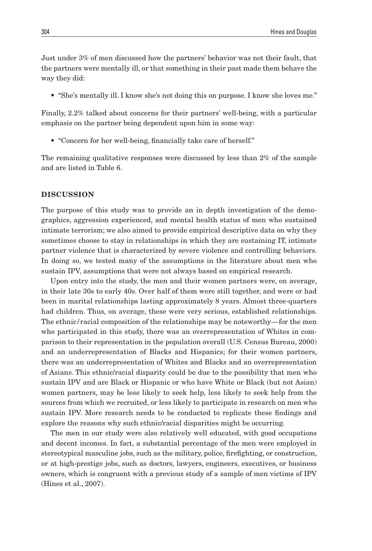Just under 3% of men discussed how the partners' behavior was not their fault, that the partners were mentally ill, or that something in their past made them behave the way they did:

• "She's mentally ill. I know she's not doing this on purpose. I know she loves me."

Finally, 2.2% talked about concerns for their partners' well-being, with a particular emphasis on the partner being dependent upon him in some way:

• "Concern for her well-being, financially take care of herself."

The remaining qualitative responses were discussed by less than 2% of the sample and are listed in Table 6.

#### **DISCUSSION**

The purpose of this study was to provide an in depth investigation of the demographics, aggression experienced, and mental health status of men who sustained intimate terrorism; we also aimed to provide empirical descriptive data on why they sometimes choose to stay in relationships in which they are sustaining IT, intimate partner violence that is characterized by severe violence and controlling behaviors. In doing so, we tested many of the assumptions in the literature about men who sustain IPV, assumptions that were not always based on empirical research.

Upon entry into the study, the men and their women partners were, on average, in their late 30s to early 40s. Over half of them were still together, and were or had been in marital relationships lasting approximately 8 years. Almost three-quarters had children. Thus, on average, these were very serious, established relationships. The ethnic/racial composition of the relationships may be noteworthy—for the men who participated in this study, there was an overrepresentation of Whites in comparison to their representation in the population overall (U.S. Census Bureau, 2000) and an underrepresentation of Blacks and Hispanics; for their women partners, there was an underrepresentation of Whites and Blacks and an overrepresentation of Asians. This ethnic/racial disparity could be due to the possibility that men who sustain IPV and are Black or Hispanic or who have White or Black (but not Asian) women partners, may be less likely to seek help, less likely to seek help from the sources from which we recruited, or less likely to participate in research on men who sustain IPV. More research needs to be conducted to replicate these findings and explore the reasons why such ethnic/racial disparities might be occurring.

The men in our study were also relatively well educated, with good occupations and decent incomes. In fact, a substantial percentage of the men were employed in stereotypical masculine jobs, such as the military, police, firefighting, or construction, or at high-prestige jobs, such as doctors, lawyers, engineers, executives, or business owners, which is congruent with a previous study of a sample of men victims of IPV (Hines et al., 2007).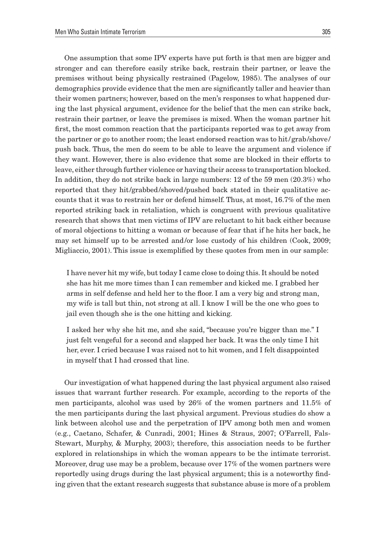One assumption that some IPV experts have put forth is that men are bigger and stronger and can therefore easily strike back, restrain their partner, or leave the premises without being physically restrained (Pagelow, 1985). The analyses of our demographics provide evidence that the men are significantly taller and heavier than their women partners; however, based on the men's responses to what happened during the last physical argument, evidence for the belief that the men can strike back, restrain their partner, or leave the premises is mixed. When the woman partner hit first, the most common reaction that the participants reported was to get away from the partner or go to another room; the least endorsed reaction was to hit/grab/shove/ push back. Thus, the men do seem to be able to leave the argument and violence if they want. However, there is also evidence that some are blocked in their efforts to leave, either through further violence or having their access to transportation blocked. In addition, they do not strike back in large numbers: 12 of the 59 men  $(20.3%)$  who reported that they hit/grabbed/shoved/pushed back stated in their qualitative accounts that it was to restrain her or defend himself. Thus, at most, 16.7% of the men reported striking back in retaliation, which is congruent with previous qualitative research that shows that men victims of IPV are reluctant to hit back either because of moral objections to hitting a woman or because of fear that if he hits her back, he may set himself up to be arrested and/or lose custody of his children (Cook, 2009; Migliaccio, 2001). This issue is exemplified by these quotes from men in our sample:

I have never hit my wife, but today I came close to doing this. It should be noted she has hit me more times than I can remember and kicked me. I grabbed her arms in self defense and held her to the floor. I am a very big and strong man, my wife is tall but thin, not strong at all. I know I will be the one who goes to jail even though she is the one hitting and kicking.

I asked her why she hit me, and she said, "because you're bigger than me." I just felt vengeful for a second and slapped her back. It was the only time I hit her, ever. I cried because I was raised not to hit women, and I felt disappointed in myself that I had crossed that line.

Our investigation of what happened during the last physical argument also raised issues that warrant further research. For example, according to the reports of the men participants, alcohol was used by 26% of the women partners and 11.5% of the men participants during the last physical argument. Previous studies do show a link between alcohol use and the perpetration of IPV among both men and women (e.g., Caetano, Schafer, & Cunradi, 2001; Hines & Straus, 2007; O'Farrell, Fals-Stewart, Murphy, & Murphy, 2003); therefore, this association needs to be further explored in relationships in which the woman appears to be the intimate terrorist. Moreover, drug use may be a problem, because over 17% of the women partners were reportedly using drugs during the last physical argument; this is a noteworthy finding given that the extant research suggests that substance abuse is more of a problem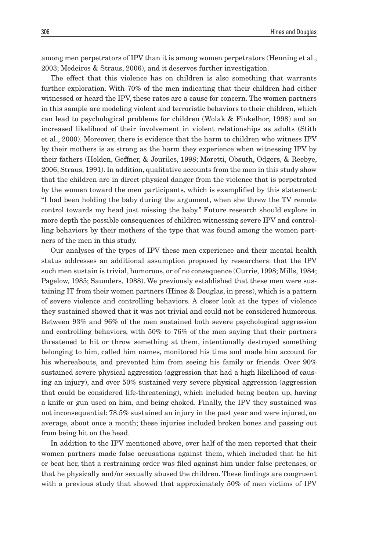among men perpetrators of IPV than it is among women perpetrators (Henning et al., 2003; Medeiros & Straus, 2006), and it deserves further investigation.

The effect that this violence has on children is also something that warrants further exploration. With 70% of the men indicating that their children had either witnessed or heard the IPV, these rates are a cause for concern. The women partners in this sample are modeling violent and terroristic behaviors to their children, which can lead to psychological problems for children (Wolak & Finkelhor, 1998) and an increased likelihood of their involvement in violent relationships as adults (Stith et al., 2000). Moreover, there is evidence that the harm to children who witness IPV by their mothers is as strong as the harm they experience when witnessing IPV by their fathers (Holden, Geffner, & Jouriles, 1998; Moretti, Obsuth, Odgers, & Reebye, 2006; Straus, 1991). In addition, qualitative accounts from the men in this study show that the children are in direct physical danger from the violence that is perpetrated by the women toward the men participants, which is exemplified by this statement: "I had been holding the baby during the argument, when she threw the TV remote control towards my head just missing the baby." Future research should explore in more depth the possible consequences of children witnessing severe IPV and controlling behaviors by their mothers of the type that was found among the women partners of the men in this study.

Our analyses of the types of IPV these men experience and their mental health status addresses an additional assumption proposed by researchers: that the IPV such men sustain is trivial, humorous, or of no consequence (Currie, 1998; Mills, 1984; Pagelow, 1985; Saunders, 1988). We previously established that these men were sustaining IT from their women partners (Hines & Douglas, in press), which is a pattern of severe violence and controlling behaviors. A closer look at the types of violence they sustained showed that it was not trivial and could not be considered humorous. Between 93% and 96% of the men sustained both severe psychological aggression and controlling behaviors, with 50% to 76% of the men saying that their partners threatened to hit or throw something at them, intentionally destroyed something belonging to him, called him names, monitored his time and made him account for his whereabouts, and prevented him from seeing his family or friends. Over 90% sustained severe physical aggression (aggression that had a high likelihood of causing an injury), and over 50% sustained very severe physical aggression (aggression that could be considered life-threatening), which included being beaten up, having a knife or gun used on him, and being choked. Finally, the IPV they sustained was not inconsequential: 78.5% sustained an injury in the past year and were injured, on average, about once a month; these injuries included broken bones and passing out from being hit on the head.

In addition to the IPV mentioned above, over half of the men reported that their women partners made false accusations against them, which included that he hit or beat her, that a restraining order was filed against him under false pretenses, or that he physically and/or sexually abused the children. These findings are congruent with a previous study that showed that approximately 50% of men victims of IPV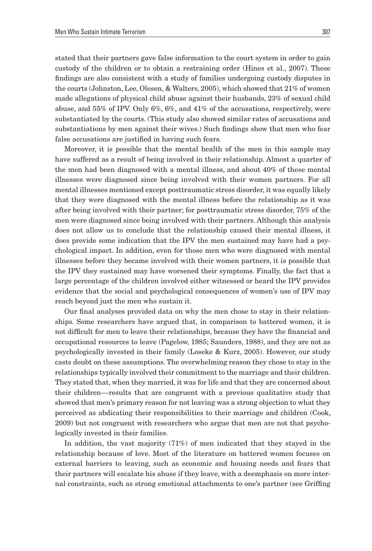stated that their partners gave false information to the court system in order to gain custody of the children or to obtain a restraining order (Hines et al., 2007). These findings are also consistent with a study of families undergoing custody disputes in the courts (Johnston, Lee, Olesen, & Walters, 2005), which showed that 21% of women made allegations of physical child abuse against their husbands, 23% of sexual child abuse, and 55% of IPV. Only 6%, 6%, and 41% of the accusations, respectively, were substantiated by the courts. (This study also showed similar rates of accusations and substantiations by men against their wives.) Such findings show that men who fear false accusations are justified in having such fears.

Moreover, it is possible that the mental health of the men in this sample may have suffered as a result of being involved in their relationship. Almost a quarter of the men had been diagnosed with a mental illness, and about 40% of these mental illnesses were diagnosed since being involved with their women partners. For all mental illnesses mentioned except posttraumatic stress disorder, it was equally likely that they were diagnosed with the mental illness before the relationship as it was after being involved with their partner; for posttraumatic stress disorder, 75% of the men were diagnosed since being involved with their partners. Although this analysis does not allow us to conclude that the relationship caused their mental illness, it does provide some indication that the IPV the men sustained may have had a psychological impact. In addition, even for those men who were diagnosed with mental illnesses before they became involved with their women partners, it is possible that the IPV they sustained may have worsened their symptoms. Finally, the fact that a large percentage of the children involved either witnessed or heard the IPV provides evidence that the social and psychological consequences of women's use of IPV may reach beyond just the men who sustain it.

Our final analyses provided data on why the men chose to stay in their relationships. Some researchers have argued that, in comparison to battered women, it is not difficult for men to leave their relationships, because they have the financial and occupational resources to leave (Pagelow, 1985; Saunders, 1988), and they are not as psychologically invested in their family (Loseke & Kurz, 2005). However, our study casts doubt on these assumptions. The overwhelming reason they chose to stay in the relationships typically involved their commitment to the marriage and their children. They stated that, when they married, it was for life and that they are concerned about their children—results that are congruent with a previous qualitative study that showed that men's primary reason for not leaving was a strong objection to what they perceived as abdicating their responsibilities to their marriage and children (Cook, 2009) but not congruent with researchers who argue that men are not that psychologically invested in their families.

In addition, the vast majority  $(71\%)$  of men indicated that they stayed in the relationship because of love. Most of the literature on battered women focuses on external barriers to leaving, such as economic and housing needs and fears that their partners will escalate his abuse if they leave, with a deemphasis on more internal constraints, such as strong emotional attachments to one's partner (see Griffing)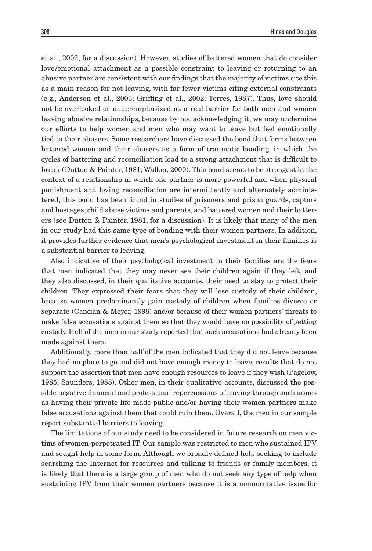et al., 2002, for a discussion). However, studies of battered women that do consider love/emotional attachment as a possible constraint to leaving or returning to an abusive partner are consistent with our findings that the majority of victims cite this as a main reason for not leaving, with far fewer victims citing external constraints  $(e.g., Anderson et al., 2003; Griffithg et al., 2002; Torres, 1987)$ . Thus, love should not be overlooked or underemphasized as a real barrier for both men and women leaving abusive relationships, because by not acknowledging it, we may undermine our efforts to help women and men who may want to leave but feel emotionally tied to their abusers. Some researchers have discussed the bond that forms between battered women and their abusers as a form of traumatic bonding, in which the cycles of battering and reconciliation lead to a strong attachment that is difficult to break (Dutton & Painter, 1981; Walker, 2000). This bond seems to be strongest in the context of a relationship in which one partner is more powerful and when physical punishment and loving reconciliation are intermittently and alternately administered; this bond has been found in studies of prisoners and prison guards, captors and hostages, child abuse victims and parents, and battered women and their batterers (see Dutton & Painter, 1981, for a discussion). It is likely that many of the men in our study had this same type of bonding with their women partners. In addition, it provides further evidence that men's psychological investment in their families is a substantial barrier to leaving.

Also indicative of their psychological investment in their families are the fears that men indicated that they may never see their children again if they left, and they also discussed, in their qualitative accounts, their need to stay to protect their children. They expressed their fears that they will lose custody of their children, because women predominantly gain custody of children when families divorce or separate (Cancian & Meyer, 1998) and/or because of their women partners' threats to make false accusations against them so that they would have no possibility of getting custody. Half of the men in our study reported that such accusations had already been made against them.

Additionally, more than half of the men indicated that they did not leave because they had no place to go and did not have enough money to leave, results that do not support the assertion that men have enough resources to leave if they wish (Pagelow, 1985; Saunders, 1988). Other men, in their qualitative accounts, discussed the possible negative financial and professional repercussions of leaving through such issues as having their private life made public and/or having their women partners make false accusations against them that could ruin them. Overall, the men in our sample report substantial barriers to leaving.

The limitations of our study need to be considered in future research on men victims of women-perpetrated IT. Our sample was restricted to men who sustained IPV and sought help in some form. Although we broadly defined help seeking to include searching the Internet for resources and talking to friends or family members, it is likely that there is a large group of men who do not seek any type of help when sustaining IPV from their women partners because it is a nonnormative issue for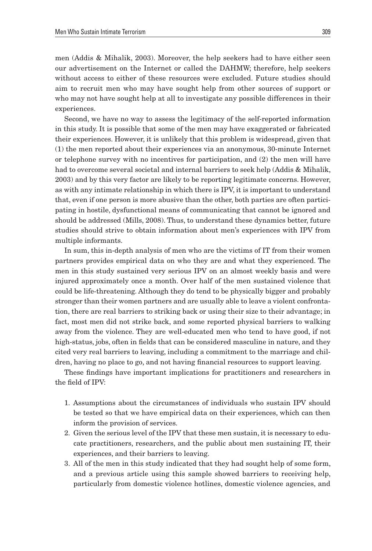men (Addis & Mihalik, 2003). Moreover, the help seekers had to have either seen our advertisement on the Internet or called the DAHMW; therefore, help seekers without access to either of these resources were excluded. Future studies should aim to recruit men who may have sought help from other sources of support or who may not have sought help at all to investigate any possible differences in their experiences.

Second, we have no way to assess the legitimacy of the self-reported information in this study. It is possible that some of the men may have exaggerated or fabricated their experiences. However, it is unlikely that this problem is widespread, given that (1) the men reported about their experiences via an anonymous, 30-minute Internet or telephone survey with no incentives for participation, and (2) the men will have had to overcome several societal and internal barriers to seek help (Addis & Mihalik, 2003) and by this very factor are likely to be reporting legitimate concerns. However, as with any intimate relationship in which there is IPV, it is important to understand that, even if one person is more abusive than the other, both parties are often participating in hostile, dysfunctional means of communicating that cannot be ignored and should be addressed (Mills, 2008). Thus, to understand these dynamics better, future studies should strive to obtain information about men's experiences with IPV from multiple informants.

In sum, this in-depth analysis of men who are the victims of IT from their women partners provides empirical data on who they are and what they experienced. The men in this study sustained very serious IPV on an almost weekly basis and were injured approximately once a month. Over half of the men sustained violence that could be life-threatening. Although they do tend to be physically bigger and probably stronger than their women partners and are usually able to leave a violent confrontation, there are real barriers to striking back or using their size to their advantage; in fact, most men did not strike back, and some reported physical barriers to walking away from the violence. They are well-educated men who tend to have good, if not high-status, jobs, often in fields that can be considered masculine in nature, and they cited very real barriers to leaving, including a commitment to the marriage and children, having no place to go, and not having financial resources to support leaving.

These findings have important implications for practitioners and researchers in the field of IPV:

- 1. Assumptions about the circumstances of individuals who sustain IPV should be tested so that we have empirical data on their experiences, which can then inform the provision of services.
- 2. Given the serious level of the IPV that these men sustain, it is necessary to educate practitioners, researchers, and the public about men sustaining IT, their experiences, and their barriers to leaving.
- 3. All of the men in this study indicated that they had sought help of some form, and a previous article using this sample showed barriers to receiving help, particularly from domestic violence hotlines, domestic violence agencies, and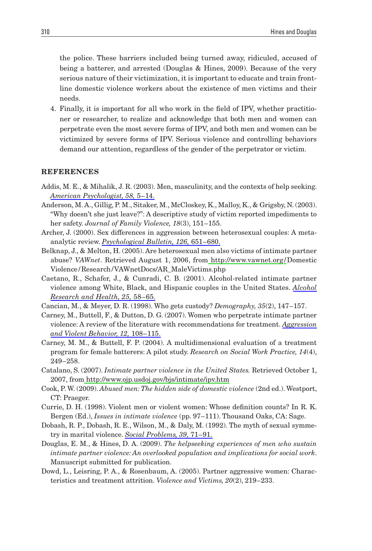the police. These barriers included being turned away, ridiculed, accused of being a batterer, and arrested (Douglas & Hines, 2009). Because of the very serious nature of their victimization, it is important to educate and train frontline domestic violence workers about the existence of men victims and their needs.

4. Finally, it is important for all who work in the field of IPV, whether practitioner or researcher, to realize and acknowledge that both men and women can perpetrate even the most severe forms of IPV, and both men and women can be victimized by severe forms of IPV. Serious violence and controlling behaviors demand our attention, regardless of the gender of the perpetrator or victim.

### **REFERENCES**

- Addis, M. E., & Mihalik, J. R. (2003). Men, masculinity, and the contexts of help seeking. American Psychologist, 58, 5–14.
- Anderson, M. A., Gillig, P. M., Sitaker, M., McCloskey, K., Malloy, K., & Grigsby, N. (2003). "Why doesn't she just leave?": A descriptive study of victim reported impediments to her safety. Journal of Family Violence, 18(3), 151-155.
- Archer, J. (2000). Sex differences in aggression between heterosexual couples: A metaanalytic review. Psychological Bulletin, 126, 651-680.
- Belknap, J., & Melton, H. (2005). Are heterosexual men also victims of intimate partner abuse? VAWnet. Retrieved August 1, 2006, from http://www.vawnet.org/Domestic Violence/Research/VAWnetDocs/AR\_MaleVictims.php
- Caetano, R., Schafer, J., & Cunradi, C. B. (2001). Alcohol-related intimate partner violence among White, Black, and Hispanic couples in the United States. Alcohol Research and Health, 25, 58-65.
- Cancian, M., & Meyer, D. R. (1998). Who gets custody? Demography, 35(2), 147–157.
- Carney, M., Buttell, F., & Dutton, D. G. (2007). Women who perpetrate intimate partner violence: A review of the literature with recommendations for treatment. Aggression and Violent Behavior, 12, 108-115.
- Carney, M. M., & Buttell, F. P. (2004). A multidimensional evaluation of a treatment program for female batterers: A pilot study. Research on Social Work Practice, 14(4),  $249 - 258.$
- Catalano, S. (2007). Intimate partner violence in the United States. Retrieved October 1, 2007, from http://www.ojp.usdoj.gov/bjs/intimate/ipv.htm
- Cook, P. W. (2009). Abused men: The hidden side of domestic violence (2nd ed.). Westport, CT: Praeger.
- Currie, D. H. (1998). Violent men or violent women: Whose definition counts? In R. K. Bergen (Ed.), Issues in intimate violence (pp. 97–111). Thousand Oaks, CA: Sage.
- Dobash, R. P., Dobash, R. E., Wilson, M., & Daly, M. (1992). The myth of sexual symmetry in marital violence. Social Problems, 39, 71–91.
- Douglas, E. M., & Hines, D. A. (2009). The helpseeking experiences of men who sustain intimate partner violence: An overlooked population and implications for social work. Manuscript submitted for publication.
- Dowd, L., Leisring, P. A., & Rosenbaum, A. (2005). Partner aggressive women: Characteristics and treatment attrition. Violence and Victims, 20(2), 219–233.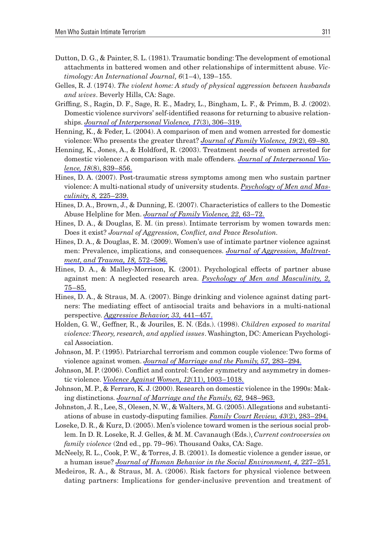- Dutton, D. G., & Painter, S. L. (1981). Traumatic bonding: The development of emotional attachments in battered women and other relationships of intermittent abuse. Vic $timology: An International Journal, 6(1-4), 139-155.$
- Gelles, R. J. (1974). The violent home: A study of physical aggression between husbands and wives. Beverly Hills, CA: Sage.
- Griffing, S., Ragin, D. F., Sage, R. E., Madry, L., Bingham, L. F., & Primm, B. J. (2002). Domestic violence survivors' self-identified reasons for returning to abusive relationships. Journal of Interpersonal Violence, 17(3), 306-319.
- Henning, K., & Feder, L. (2004). A comparison of men and women arrested for domestic violence: Who presents the greater threat? Journal of Family Violence, 19(2), 69–80.
- Henning, K., Jones, A., & Holdford, R. (2003). Treatment needs of women arrested for domestic violence: A comparison with male offenders. Journal of Interpersonal Violence, 18(8), 839-856.
- Hines, D. A. (2007). Post-traumatic stress symptoms among men who sustain partner violence: A multi-national study of university students. Psychology of Men and Masculinity, 8, 225-239.
- Hines, D. A., Brown, J., & Dunning, E. (2007). Characteristics of callers to the Domestic Abuse Helpline for Men. Journal of Family Violence, 22, 63-72.
- Hines, D. A., & Douglas, E. M. (in press). Intimate terrorism by women towards men: Does it exist? Journal of Aggression, Conflict, and Peace Resolution.
- Hines, D. A., & Douglas, E. M. (2009). Women's use of intimate partner violence against men: Prevalence, implications, and consequences. Journal of Aggression, Maltreatment, and Trauma, 18, 572-586.
- Hines, D. A., & Malley-Morrison, K. (2001). Psychological effects of partner abuse against men: A neglected research area. Psychology of Men and Masculinity, 2,  $75 - 85.$
- Hines, D. A., & Straus, M. A. (2007). Binge drinking and violence against dating partners: The mediating effect of antisocial traits and behaviors in a multi-national perspective. Aggressive Behavior, 33, 441-457.
- Holden, G. W., Geffner, R., & Jouriles, E. N. (Eds.). (1998). Children exposed to marital violence: Theory, research, and applied issues. Washington, DC: American Psychological Association.
- Johnson, M. P. (1995). Patriarchal terrorism and common couple violence: Two forms of violence against women. Journal of Marriage and the Family, 57, 283–294.
- Johnson, M. P. (2006). Conflict and control: Gender symmetry and asymmetry in domestic violence. Violence Against Women, 12(11), 1003-1018.
- Johnson, M. P., & Ferraro, K. J. (2000). Research on domestic violence in the 1990s: Making distinctions. Journal of Marriage and the Family, 62, 948-963.
- Johnston, J. R., Lee, S., Olesen, N. W., & Walters, M. G. (2005). Allegations and substantiations of abuse in custody-disputing families. Family Court Review, 43(2), 283–294.
- Loseke, D. R., & Kurz, D. (2005). Men's violence toward women is the serious social problem. In D. R. Loseke, R. J. Gelles, & M. M. Cavanaugh (Eds.), Current controversies on *family violence* (2nd ed., pp. 79–96). Thousand Oaks, CA: Sage.
- McNeely, R. L., Cook, P. W., & Torres, J. B. (2001). Is domestic violence a gender issue, or a human issue? Journal of Human Behavior in the Social Environment, 4, 227–251.
- Medeiros, R. A., & Straus, M. A. (2006). Risk factors for physical violence between dating partners: Implications for gender-inclusive prevention and treatment of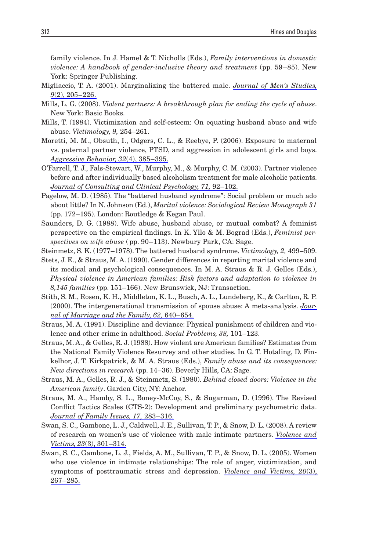family violence. In J. Hamel & T. Nicholls (Eds.), Family interventions in domestic violence: A handbook of gender-inclusive theory and treatment (pp. 59–85). New York: Springer Publishing.

- Migliaccio, T. A. (2001). Marginalizing the battered male. Journal of Men's Studies,  $9(2)$ ,  $205 - 226$ .
- Mills, L. G. (2008). Violent partners: A breakthrough plan for ending the cycle of abuse. New York: Basic Books.
- Mills, T. (1984). Victimization and self-esteem: On equating husband abuse and wife abuse. Victimology, 9, 254-261.
- Moretti, M. M., Obsuth, I., Odgers, C. L., & Reebye, P. (2006). Exposure to maternal vs. paternal partner violence, PTSD, and aggression in adolescent girls and boys. Aggressive Behavior, 32(4), 385-395.
- O'Farrell, T. J., Fals-Stewart, W., Murphy, M., & Murphy, C. M. (2003). Partner violence before and after individually based alcoholism treatment for male alcoholic patients. Journal of Consulting and Clinical Psychology, 71, 92-102.
- Pagelow, M. D. (1985). The "battered husband syndrome": Social problem or much ado about little? In N. Johnson (Ed.), Marital violence: Sociological Review Monograph 31 (pp. 172-195). London: Routledge & Kegan Paul.
- Saunders, D. G. (1988). Wife abuse, husband abuse, or mutual combat? A feminist perspective on the empirical findings. In K. Yllo & M. Bograd (Eds.), Feminist perspectives on wife abuse (pp. 90-113). Newbury Park, CA: Sage.
- Steinmetz, S. K. (1977–1978). The battered husband syndrome. Victimology, 2, 499–509.
- Stets, J. E., & Straus, M. A. (1990). Gender differences in reporting marital violence and its medical and psychological consequences. In M. A. Straus & R. J. Gelles (Eds.), Physical violence in American families: Risk factors and adaptation to violence in 8,145 families (pp. 151–166). New Brunswick, NJ: Transaction.
- Stith, S. M., Rosen, K. H., Middleton, K. L., Busch, A. L., Lundeberg, K., & Carlton, R. P.  $(2000)$ . The intergenerational transmission of spouse abuse: A meta-analysis. Journal of Marriage and the Family, 62, 640-654.
- Straus, M. A. (1991). Discipline and deviance: Physical punishment of children and violence and other crime in adulthood. Social Problems, 38, 101-123.
- Straus, M. A., & Gelles, R. J. (1988). How violent are American families? Estimates from the National Family Violence Resurvey and other studies. In G. T. Hotaling, D. Finkelhor, J. T. Kirkpatrick, & M. A. Straus (Eds.), Family abuse and its consequences: New directions in research (pp. 14–36). Beverly Hills, CA: Sage.
- Straus, M. A., Gelles, R. J., & Steinmetz, S. (1980). Behind closed doors: Violence in the American family. Garden City, NY: Anchor.
- Straus, M. A., Hamby, S. L., Boney-McCoy, S., & Sugarman, D. (1996). The Revised Conflict Tactics Scales (CTS-2): Development and preliminary psychometric data. Journal of Family Issues, 17, 283-316.
- Swan, S. C., Gambone, L. J., Caldwell, J. E., Sullivan, T. P., & Snow, D. L. (2008). A review of research on women's use of violence with male intimate partners. Violence and Victims, 23(3), 301-314.
- Swan, S. C., Gambone, L. J., Fields, A. M., Sullivan, T. P., & Snow, D. L. (2005). Women who use violence in intimate relationships: The role of anger, victimization, and symptoms of posttraumatic stress and depression. Violence and Victims, 20(3),  $267 - 285.$